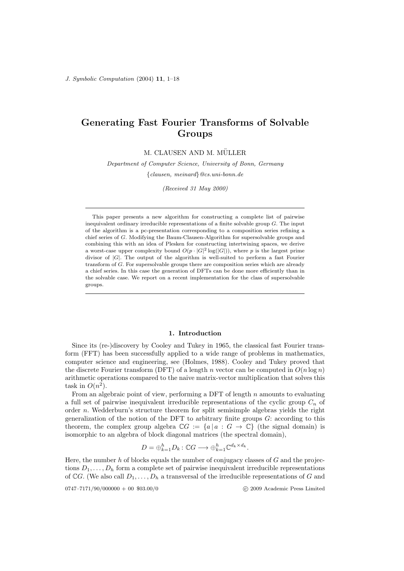# Generating Fast Fourier Transforms of Solvable Groups

M. CLAUSEN AND M. MÜLLER

Department of Computer Science, University of Bonn, Germany

{clausen, meinard}@cs.uni-bonn.de

(Received 31 May 2000)

This paper presents a new algorithm for constructing a complete list of pairwise inequivalent ordinary irreducible representations of a finite solvable group  $G$ . The input of the algorithm is a pc-presentation corresponding to a composition series refining a chief series of G. Modifying the Baum-Clausen-Algorithm for supersolvable groups and combining this with an idea of Plesken for constructing intertwining spaces, we derive a worst-case upper complexity bound  $O(p \cdot |G|^2 \log(|G|))$ , where p is the largest prime divisor of |G|. The output of the algorithm is well-suited to perform a fast Fourier transform of G. For supersolvable groups there are composition series which are already a chief series. In this case the generation of DFTs can be done more efficiently than in the solvable case. We report on a recent implementation for the class of supersolvable groups.

#### 1. Introduction

Since its (re-)discovery by Cooley and Tukey in 1965, the classical fast Fourier transform (FFT) has been successfully applied to a wide range of problems in mathematics, computer science and engineering, see (Holmes, 1988). Cooley and Tukey proved that the discrete Fourier transform (DFT) of a length n vector can be computed in  $O(n \log n)$ arithmetic operations compared to the naive matrix-vector multiplication that solves this task in  $O(n^2)$ .

From an algebraic point of view, performing a DFT of length  $n$  amounts to evaluating a full set of pairwise inequivalent irreducible representations of the cyclic group  $C_n$  of order n. Wedderburn's structure theorem for split semisimple algebras yields the right generalization of the notion of the DFT to arbitrary finite groups  $G$ : according to this theorem, the complex group algebra  $\mathbb{C}G := \{a \mid a : G \to \mathbb{C}\}\$  (the signal domain) is isomorphic to an algebra of block diagonal matrices (the spectral domain),

$$
D = \bigoplus_{k=1}^{h} D_k : \mathbb{C}G \longrightarrow \bigoplus_{k=1}^{h} \mathbb{C}^{d_k \times d_k}.
$$

Here, the number h of blocks equals the number of conjugacy classes of  $G$  and the projections  $D_1, \ldots, D_h$  form a complete set of pairwise inequivalent irreducible representations of CG. (We also call  $D_1, \ldots, D_h$  a transversal of the irreducible representations of G and

$$
0747-7171/90/000000+00\ \ 803.00/0
$$

© 2009 Academic Press Limited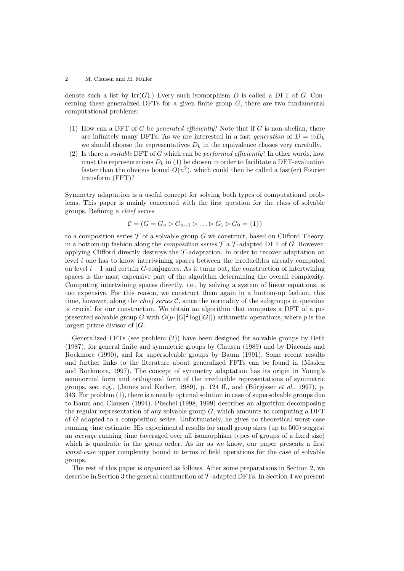denote such a list by  $\text{Irr}(G)$ .) Every such isomorphism D is called a DFT of G. Concerning these generalized DFTs for a given finite group  $G$ , there are two fundamental computational problems:

- (1) How can a DFT of G be generated efficiently? Note that if G is non-abelian, there are infinitely many DFTs. As we are interested in a fast generation of  $D = \bigoplus D_k$ we should choose the representatives  $D_k$  in the equivalence classes very carefully.
- (2) Is there a *suitable* DFT of G which can be *performed efficiently*? In other words, how must the representations  $D_k$  in (1) be chosen in order to facilitate a DFT-evaluation faster than the obvious bound  $O(n^2)$ , which could then be called a fast(er) Fourier transform (FFT)?

Symmetry adaptation is a useful concept for solving both types of computational problems. This paper is mainly concerned with the first question for the class of solvable groups. Refining a chief series

$$
\mathcal{C} = (G = G_n \triangleright G_{n-1} \triangleright \ldots \triangleright G_1 \triangleright G_0 = \{1\})
$$

to a composition series  $\mathcal T$  of a solvable group G we construct, based on Clifford Theory, in a bottom-up fashion along the *composition series*  $\mathcal{T}$  a  $\mathcal{T}$ -adapted DFT of G. However, applying Clifford directly destroys the  $\mathcal{T}\text{-}\text{adaptation}$ . In order to recover adaptation on level  $i$  one has to know intertwining spaces between the irreducibles already computed on level  $i - 1$  and certain G-conjugates. As it turns out, the construction of intertwining spaces is the most expensive part of the algorithm determining the overall complexity. Computing intertwining spaces directly, i.e., by solving a system of linear equations, is too expensive. For this reason, we construct them again in a bottom-up fashion, this time, however, along the *chief series*  $\mathcal{C}$ , since the normality of the subgroups in question is crucial for our construction. We obtain an algorithm that computes a DFT of a pcpresented solvable group G with  $O(p \cdot |G|^2 \log(|G|))$  arithmetic operations, where p is the largest prime divisor of  $|G|$ .

Generalized FFTs (see problem (2)) have been designed for solvable groups by Beth (1987), for general finite and symmetric groups by Clausen (1989) and by Diaconis and Rockmore (1990), and for supersolvable groups by Baum (1991). Some recent results and further links to the literature about generalized FFTs can be found in (Maslen and Rockmore, 1997). The concept of symmetry adaptation has its origin in Young's seminormal form and orthogonal form of the irreducible representations of symmetric groups, see, e.g., (James and Kerber, 1989), p. 124 ff., and (Bürgisser *et al.*, 1997), p. 343. For problem (1), there is a nearly optimal solution in case of supersolvable groups due to Baum and Clausen (1994). Püschel (1998, 1999) describes an algorithm decomposing the regular representation of any solvable group  $G$ , which amounts to computing a DFT of G adapted to a composition series. Unfortunately, he gives no theoretical worst-case running time estimate. His experimental results for small group sizes (up to 500) suggest an average running time (averaged over all isomorphism types of groups of a fixed size) which is quadratic in the group order. As far as we know, our paper presents a first worst-case upper complexity bound in terms of field operations for the case of solvable groups.

The rest of this paper is organized as follows. After some preparations in Section 2, we describe in Section 3 the general construction of  $\mathcal{T}\text{-adapted DFTs}$ . In Section 4 we present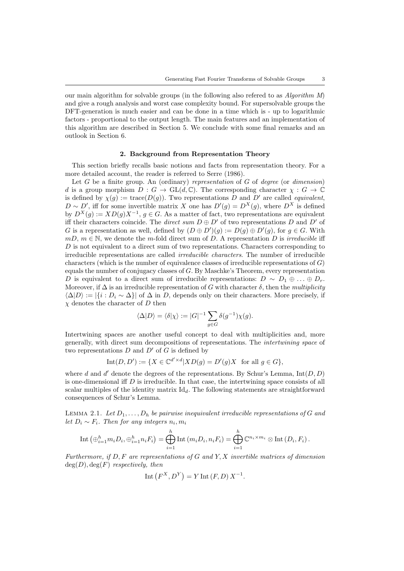our main algorithm for solvable groups (in the following also refered to as  $Algorithm M$ ) and give a rough analysis and worst case complexity bound. For supersolvable groups the DFT-generation is much easier and can be done in a time which is - up to logarithmic factors - proportional to the output length. The main features and an implementation of this algorithm are described in Section 5. We conclude with some final remarks and an outlook in Section 6.

#### 2. Background from Representation Theory

This section briefly recalls basic notions and facts from representation theory. For a more detailed account, the reader is referred to Serre (1986).

Let  $G$  be a finite group. An (ordinary) representation of  $G$  of degree (or dimension) d is a group morphism  $D: G \to GL(d, \mathbb{C})$ . The corresponding character  $\chi: G \to \mathbb{C}$ is defined by  $\chi(g) := \text{trace}(D(g))$ . Two representations D and D' are called *equivalent*,  $D \sim D'$ , iff for some invertible matrix X one has  $D'(g) = D^{X}(g)$ , where  $D^{X}$  is defined by  $D^{X}(g) := XD(g)X^{-1}, g \in G$ . As a matter of fact, two representations are equivalent iff their characters coincide. The direct sum  $D \oplus D'$  of two representations D and D' of G is a representation as well, defined by  $(D \oplus D')(g) := D(g) \oplus D'(g)$ , for  $g \in G$ . With  $mD, m \in \mathbb{N}$ , we denote the m-fold direct sum of D. A representation D is *irreducible* iff D is not equivalent to a direct sum of two representations. Characters corresponding to irreducible representations are called irreducible characters. The number of irreducible characters (which is the number of equivalence classes of irreducible representations of  $G$ ) equals the number of conjugacy classes of  $G$ . By Maschke's Theorem, every representation D is equivalent to a direct sum of irreducible representations:  $D \sim D_1 \oplus \ldots \oplus D_r$ . Moreover, if  $\Delta$  is an irreducible representation of G with character  $\delta$ , then the multiplicity  $\langle \Delta | D \rangle := |\{i : D_i \sim \Delta\}|$  of  $\Delta$  in D, depends only on their characters. More precisely, if  $\chi$  denotes the character of D then

$$
\langle \Delta | D \rangle = \langle \delta | \chi \rangle := |G|^{-1} \sum_{g \in G} \delta(g^{-1}) \chi(g).
$$

Intertwining spaces are another useful concept to deal with multiplicities and, more generally, with direct sum decompositions of representations. The intertwining space of two representations  $D$  and  $D'$  of  $G$  is defined by

$$
Int(D, D') := \{ X \in \mathbb{C}^{d' \times d} | X D(g) = D'(g)X \text{ for all } g \in G \},
$$

where d and d' denote the degrees of the representations. By Schur's Lemma,  $Int(D, D)$ is one-dimensional iff  $D$  is irreducible. In that case, the intertwining space consists of all scalar multiples of the identity matrix  $\mathrm{Id}_d$ . The following statements are straightforward consequences of Schur's Lemma.

LEMMA 2.1. Let  $D_1, \ldots, D_h$  be pairwise inequivalent irreducible representations of G and let  $D_i \sim F_i$ . Then for any integers  $n_i, m_i$ 

$$
\text{Int}\left(\oplus_{i=1}^h m_i D_i, \oplus_{i=1}^h n_i F_i\right) = \bigoplus_{i=1}^h \text{Int}\left(m_i D_i, n_i F_i\right) = \bigoplus_{i=1}^h \mathbb{C}^{n_i \times m_i} \otimes \text{Int}\left(D_i, F_i\right).
$$

Furthermore, if  $D, F$  are representations of G and  $Y, X$  invertible matrices of dimension  $deg(D), deg(F)$  respectively, then

Int 
$$
(F^X, D^Y) = Y
$$
 Int  $(F, D) X^{-1}$ .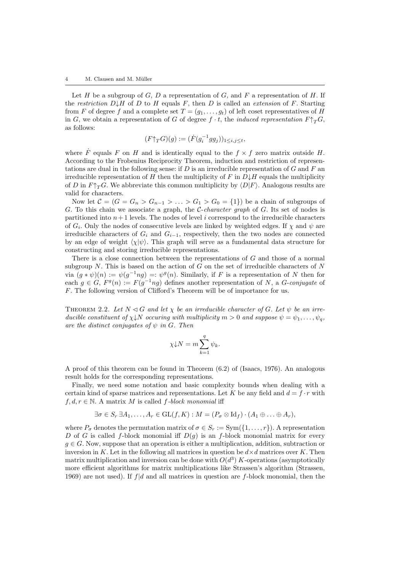Let  $H$  be a subgroup of  $G, D$  a representation of  $G$ , and  $F$  a representation of  $H$ . If the restriction  $D\downarrow H$  of D to H equals F, then D is called an extension of F. Starting from F of degree f and a complete set  $T = (g_1, \ldots, g_t)$  of left coset representatives of H in G, we obtain a representation of G of degree  $f \cdot t$ , the *induced representation*  $F \uparrow_T G$ , as follows:

$$
(F\uparrow_T G)(g) := (\dot{F}(g_i^{-1}gg_j))_{1 \le i,j \le t},
$$

where  $\dot{F}$  equals F on H and is identically equal to the  $f \times f$  zero matrix outside H. According to the Frobenius Reciprocity Theorem, induction and restriction of representations are dual in the following sense: if  $D$  is an irreducible representation of  $G$  and  $F$  an irreducible representation of H then the multiplicity of F in  $D \downarrow H$  equals the multiplicity of D in  $F\uparrow_T G$ . We abbreviate this common multiplicity by  $\langle D|F\rangle$ . Analogous results are valid for characters.

Now let  $C = (G = G_n > G_{n-1} > ... > G_1 > G_0 = \{1\})$  be a chain of subgroups of G. To this chain we associate a graph, the *C-character graph* of  $G$ . Its set of nodes is partitioned into  $n+1$  levels. The nodes of level i correspond to the irreducible characters of  $G_i$ . Only the nodes of consecutive levels are linked by weighted edges. If  $\chi$  and  $\psi$  are irreducible characters of  $G_i$  and  $G_{i-1}$ , respectively, then the two nodes are connected by an edge of weight  $\langle \chi | \psi \rangle$ . This graph will serve as a fundamental data structure for constructing and storing irreducible representations.

There is a close connection between the representations of G and those of a normal subgroup N. This is based on the action of G on the set of irreducible characters of  $N$ via  $(g * \psi)(n) := \psi(g^{-1}ng) =: \psi^g(n)$ . Similarly, if F is a representation of N then for each  $g \in G$ ,  $F^g(n) := F(g^{-1}ng)$  defines another representation of N, a G-conjugate of F. The following version of Clifford's Theorem will be of importance for us.

THEOREM 2.2. Let  $N \triangleleft G$  and let  $\chi$  be an irreducible character of G. Let  $\psi$  be an irreducible constituent of  $\chi\downarrow N$  occuring with multiplicity  $m>0$  and suppose  $\psi=\psi_1,\ldots,\psi_q$ , are the distinct conjugates of  $\psi$  in G. Then

$$
\chi \downarrow N = m \sum_{k=1}^{q} \psi_k.
$$

A proof of this theorem can be found in Theorem (6.2) of (Isaacs, 1976). An analogous result holds for the corresponding representations.

Finally, we need some notation and basic complexity bounds when dealing with a certain kind of sparse matrices and representations. Let K be any field and  $d = f \cdot r$  with  $f, d, r \in \mathbb{N}$ . A matrix M is called f-block monomial iff

$$
\exists \sigma \in S_r \, \exists A_1, \ldots, A_r \in GL(f, K) : M = (P_{\sigma} \otimes \text{Id}_f) \cdot (A_1 \oplus \ldots \oplus A_r),
$$

where  $P_{\sigma}$  denotes the permutation matrix of  $\sigma \in S_r := \text{Sym}(\{1, \ldots, r\})$ . A representation D of G is called f-block monomial iff  $D(q)$  is an f-block monomial matrix for every  $q \in G$ . Now, suppose that an operation is either a multiplication, addition, subtraction or inversion in K. Let in the following all matrices in question be  $d \times d$  matrices over K. Then matrix multiplication and inversion can be done with  $O(d^3)$  K-operations (asymptotically more efficient algorithms for matrix multiplications like Strassen's algorithm (Strassen, 1969) are not used). If  $f|d$  and all matrices in question are f-block monomial, then the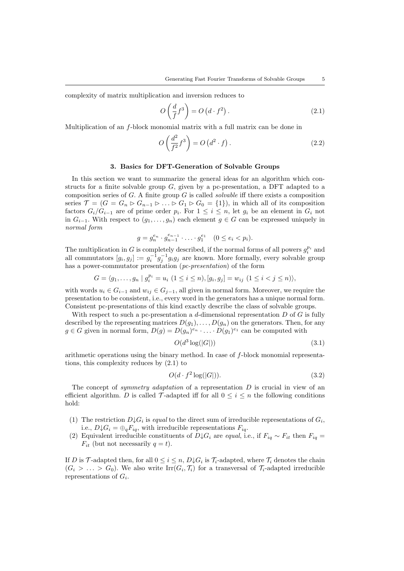complexity of matrix multiplication and inversion reduces to

$$
O\left(\frac{d}{f}f^3\right) = O\left(d \cdot f^2\right). \tag{2.1}
$$

Multiplication of an f-block monomial matrix with a full matrix can be done in

$$
O\left(\frac{d^2}{f^2}f^3\right) = O\left(d^2 \cdot f\right). \tag{2.2}
$$

## 3. Basics for DFT-Generation of Solvable Groups

In this section we want to summarize the general ideas for an algorithm which constructs for a finite solvable group  $G$ , given by a pc-presentation, a DFT adapted to a composition series of  $G$ . A finite group  $G$  is called *solvable* iff there exists a composition series  $\mathcal{T} = (G = G_n \triangleright G_{n-1} \triangleright \ldots \triangleright G_1 \triangleright G_0 = \{1\})$ , in which all of its composition factors  $G_i/G_{i-1}$  are of prime order  $p_i$ . For  $1 \leq i \leq n$ , let  $g_i$  be an element in  $G_i$  not in  $G_{i-1}$ . With respect to  $(g_1, \ldots, g_n)$  each element  $g \in G$  can be expressed uniquely in normal form

$$
g = g_n^{e_n} \cdot g_{n-1}^{e_{n-1}} \cdot \ldots \cdot g_1^{e_1} \quad (0 \le e_i < p_i).
$$

The multiplication in G is completely described, if the normal forms of all powers  $g_i^{p_i}$  and all commutators  $[g_i, g_j] := g_i^{-1} g_j^{-1} g_i g_j$  are known. More formally, every solvable group has a power-commutator presentation (*pc-presentation*) of the form

$$
G = \langle g_1, \dots, g_n \mid g_i^{p_i} = u_i \ (1 \leq i \leq n), [g_i, g_j] = w_{ij} \ (1 \leq i < j \leq n) \rangle,
$$

with words  $u_i \in G_{i-1}$  and  $w_{ij} \in G_{j-1}$ , all given in normal form. Moreover, we require the presentation to be consistent, i.e., every word in the generators has a unique normal form. Consistent pc-presentations of this kind exactly describe the class of solvable groups.

With respect to such a pc-presentation a  $d$ -dimensional representation  $D$  of  $G$  is fully described by the representing matrices  $D(q_1), \ldots, D(q_n)$  on the generators. Then, for any  $g \in G$  given in normal form,  $D(g) = D(g_n)^{e_n} \cdot \ldots \cdot D(g_1)^{e_1}$  can be computed with

$$
O(d^3 \log(|G|))\tag{3.1}
$$

arithmetic operations using the binary method. In case of f-block monomial representations, this complexity reduces by (2.1) to

$$
O(d \cdot f^2 \log(|G|)). \tag{3.2}
$$

The concept of *symmetry adaptation* of a representation  $D$  is crucial in view of an efficient algorithm. D is called  $\mathcal{T}$ -adapted iff for all  $0 \leq i \leq n$  the following conditions hold:

- (1) The restriction  $D \downarrow G_i$  is equal to the direct sum of irreducible representations of  $G_i$ , i.e.,  $D \downarrow G_i = \bigoplus_q F_{iq}$ , with irreducible representations  $F_{iq}$ .
- (2) Equivalent irreducible constituents of  $D \downarrow G_i$  are equal, i.e., if  $F_{iq} \sim F_{it}$  then  $F_{iq} =$  $F_{it}$  (but not necessarily  $q = t$ ).

If D is T-adapted then, for all  $0 \le i \le n$ ,  $D \downarrow G_i$  is  $\mathcal{T}_i$ -adapted, where  $\mathcal{T}_i$  denotes the chain  $(G_i > \ldots > G_0)$ . We also write  $\text{Irr}(G_i, \mathcal{T}_i)$  for a transversal of  $\mathcal{T}_i$ -adapted irreducible representations of  $G_i$ .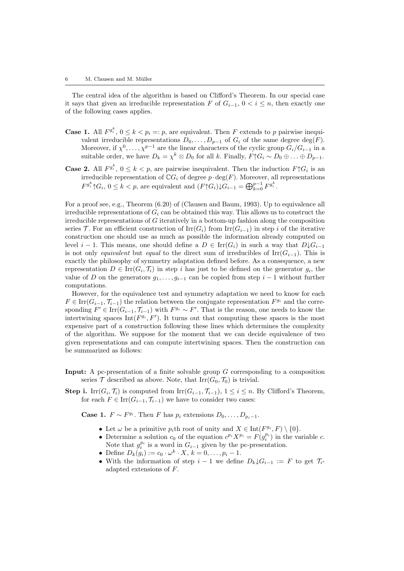The central idea of the algorithm is based on Clifford's Theorem. In our special case it says that given an irreducible representation F of  $G_{i-1}$ ,  $0 < i \leq n$ , then exactly one of the following cases applies.

- **Case 1.** All  $F^{g_i^k}$ ,  $0 \le k < p_i =: p$ , are equivalent. Then F extends to p pairwise inequivalent irreducible representations  $D_0, \ldots, D_{p-1}$  of  $G_i$  of the same degree  $\deg(F)$ . Moreover, if  $\chi^0, \ldots, \chi^{p-1}$  are the linear characters of the cyclic group  $G_i/G_{i-1}$  in a suitable order, we have  $D_k = \chi^k \otimes D_0$  for all k. Finally,  $F \uparrow G_i \sim D_0 \oplus \ldots \oplus D_{p-1}$ .
- **Case 2.** All  $F^{g_i^k}$ ,  $0 \le k < p$ , are pairwise inequivalent. Then the induction  $F \uparrow G_i$  is an irreducible representation of  $\mathbb{C}G_i$  of degree  $p \cdot \deg(F)$ . Moreover, all representations  $F^{g_i^k} \uparrow G_i$ ,  $0 \le k < p$ , are equivalent and  $(F \uparrow G_i) \downarrow G_{i-1} = \bigoplus_{k=0}^{p-1} F^{g_i^k}$ .

For a proof see, e.g., Theorem (6.20) of (Clausen and Baum, 1993). Up to equivalence all irreducible representations of  $G_i$  can be obtained this way. This allows us to construct the irreducible representations of G iteratively in a bottom-up fashion along the composition series T. For an efficient construction of  $\text{Irr}(G_i)$  from  $\text{Irr}(G_{i-1})$  in step i of the iterative construction one should use as much as possible the information already computed on level  $i-1$ . This means, one should define a  $D \in \text{Irr}(G_i)$  in such a way that  $D\downarrow G_{i-1}$ is not only equivalent but equal to the direct sum of irreducibles of  $\text{Irr}(G_{i-1})$ . This is exactly the philosophy of symmetry adaptation defined before. As a consequence, a new representation  $D \in \text{Irr}(G_i, \mathcal{T}_i)$  in step i has just to be defined on the generator  $g_i$ , the value of D on the generators  $g_1, \ldots, g_{i-1}$  can be copied from step  $i-1$  without further computations.

However, for the equivalence test and symmetry adaptation we need to know for each  $F \in \text{Irr}(G_{i-1}, \mathcal{T}_{i-1})$  the relation between the conjugate representation  $F^{g_i}$  and the corresponding  $F' \in \text{Irr}(G_{i-1}, \mathcal{T}_{i-1})$  with  $F^{g_i} \sim F'$ . That is the reason, one needs to know the intertwining spaces  $Int(F^{g_i}, F')$ . It turns out that computing these spaces is the most expensive part of a construction following these lines which determines the complexity of the algorithm. We suppose for the moment that we can decide equivalence of two given representations and can compute intertwining spaces. Then the construction can be summarized as follows:

- Input: A pc-presentation of a finite solvable group G corresponding to a composition series  $\mathcal T$  described as above. Note, that  $\text{Irr}(G_0, \mathcal T_0)$  is trivial.
- **Step i.** Irr( $G_i$ ,  $\mathcal{T}_i$ ) is computed from Irr( $G_{i-1}$ ,  $\mathcal{T}_{i-1}$ ),  $1 \leq i \leq n$ . By Clifford's Theorem, for each  $F \in \text{Irr}(G_{i-1}, \mathcal{T}_{i-1})$  we have to consider two cases:

**Case 1.**  $F \sim F^{g_i}$ . Then F has  $p_i$  extensions  $D_0, \ldots, D_{p_i-1}$ .

- Let  $\omega$  be a primitive  $p_i$ th root of unity and  $X \in \text{Int}(F^{g_i}, F) \setminus \{0\}.$
- Determine a solution  $c_0$  of the equation  $c^{p_i}X^{p_i} = F(g_i^{p_i})$  in the variable  $c$ . Note that  $g_i^{p_i}$  is a word in  $G_{i-1}$  given by the pc-presentation.
- Define  $D_k(g_i) := c_0 \cdot \omega^k \cdot X, k = 0, \ldots, p_i 1.$
- With the information of step  $i-1$  we define  $D_k \downarrow G_{i-1} := F$  to get  $\mathcal{T}_i$ adapted extensions of F.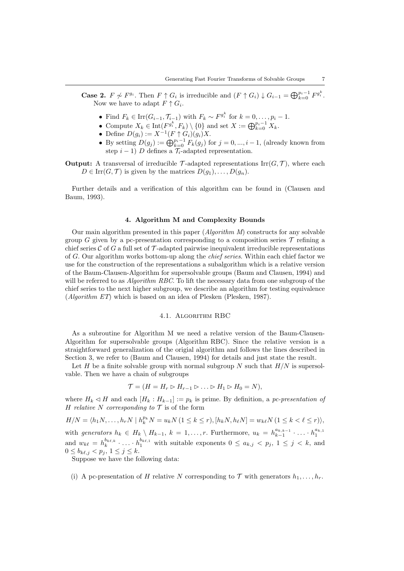**Case 2.**  $F \nless F^{g_i}$ . Then  $F \uparrow G_i$  is irreducible and  $(F \uparrow G_i) \downarrow G_{i-1} = \bigoplus_{k=0}^{p_i-1} F^{g_i^k}$ . Now we have to adapt  $F \uparrow G_i$ .

- Find  $F_k \in \text{Irr}(G_{i-1}, \mathcal{T}_{i-1})$  with  $F_k \sim F^{g_i^k}$  for  $k = 0, \ldots, p_i 1$ .
- Compute  $X_k \in \text{Int}(F^{g_i^k}, F_k) \setminus \{0\}$  and set  $X := \bigoplus_{k=0}^{p_i-1} X_k$ .
- Define  $D(g_i) := X^{-1}(F \uparrow G_i)(g_i)X$ .
- By setting  $D(g_j) := \bigoplus_{k=0}^{p_i-1} F_k(g_j)$  for  $j = 0, ..., i-1$ , (already known from step  $i - 1$ ) D defines a  $\mathcal{T}_i$ -adapted representation.
- **Output:** A transversal of irreducible  $\mathcal{T}$ -adapted representations Irr( $G, \mathcal{T}$ ), where each  $D \in \text{Irr}(G, \mathcal{T})$  is given by the matrices  $D(g_1), \ldots, D(g_n)$ .

Further details and a verification of this algorithm can be found in (Clausen and Baum, 1993).

#### 4. Algorithm M and Complexity Bounds

Our main algorithm presented in this paper  $(Algorithm M)$  constructs for any solvable group G given by a pc-presentation corresponding to a composition series  $\mathcal T$  refining a chief series  $\mathcal C$  of G a full set of  $\mathcal T$ -adapted pairwise inequivalent irreducible representations of G. Our algorithm works bottom-up along the chief series. Within each chief factor we use for the construction of the representations a subalgorithm which is a relative version of the Baum-Clausen-Algorithm for supersolvable groups (Baum and Clausen, 1994) and will be referred to as *Algorithm RBC*. To lift the necessary data from one subgroup of the chief series to the next higher subgroup, we describe an algorithm for testing equivalence  $(Alaorithm ET)$  which is based on an idea of Plesken (Plesken, 1987).

# 4.1. Algorithm RBC

As a subroutine for Algorithm M we need a relative version of the Baum-Clausen-Algorithm for supersolvable groups (Algorithm RBC). Since the relative version is a straightforward generalization of the origial algorithm and follows the lines described in Section 3, we refer to (Baum and Clausen, 1994) for details and just state the result.

Let H be a finite solvable group with normal subgroup N such that  $H/N$  is supersolvable. Then we have a chain of subgroups

$$
\mathcal{T} = (H = H_r \rhd H_{r-1} \rhd \ldots \rhd H_1 \rhd H_0 = N),
$$

where  $H_k \triangleleft H$  and each  $[H_k : H_{k-1}] := p_k$  is prime. By definition, a pc-presentation of H relative N corresponding to  $\mathcal T$  is of the form

$$
H/N = \langle h_1N, \ldots, h_rN \mid h_k^{p_k}N = u_kN \ (1 \leq k \leq r), [h_kN, h_\ell N] = w_{k\ell}N \ (1 \leq k < \ell \leq r) \rangle,
$$

with generators  $h_k \in H_k \setminus H_{k-1}$ ,  $k = 1, \ldots, r$ . Furthermore,  $u_k = h_{k-1}^{a_{k,k-1}}$  $a_{k,k-1}$  ...  $h_1^{a_{k,1}}$ and  $w_{k\ell} = h_k^{b_{k\ell,k}}$  $b_{k,\ell,k}$   $\ldots$   $\ldots$   $b_1^{b_{k,\ell,1}}$  with suitable exponents  $0 \le a_{k,j} < p_j$ ,  $1 \le j \le k$ , and  $0 \le b_{k\ell,j} < p_j, \ 1 \le j \le k.$ 

Suppose we have the following data:

(i) A pc-presentation of H relative N corresponding to  $\mathcal T$  with generators  $h_1, \ldots, h_r$ .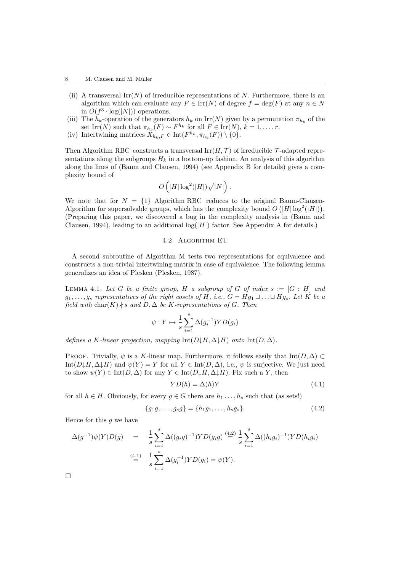- (ii) A transversal  $\text{Irr}(N)$  of irreducible representations of N. Furthermore, there is an algorithm which can evaluate any  $F \in \text{Irr}(N)$  of degree  $f = \text{deg}(F)$  at any  $n \in N$ in  $O(f^3 \cdot \log(|N|))$  operations.
- (iii) The  $h_k$ -operation of the generators  $h_k$  on Irr(N) given by a permutation  $\pi_{h_k}$  of the set Irr(N) such that  $\pi_{h_k}(F) \sim F^{h_k}$  for all  $F \in \text{Irr}(N)$ ,  $k = 1, \ldots, r$ .
- (iv) Intertwining matrices  $X_{h_k,F} \in \text{Int}(F^{h_k}, \pi_{h_k}(F)) \setminus \{0\}.$

Then Algorithm RBC constructs a transversal  $\text{Irr}(H, \mathcal{T})$  of irreducible T-adapted representations along the subgroups  $H_k$  in a bottom-up fashion. An analysis of this algorithm along the lines of (Baum and Clausen, 1994) (see Appendix B for details) gives a complexity bound of

$$
O\left(|H|\log^2(|H|)\sqrt{|N|}\right).
$$

We note that for  $N = \{1\}$  Algorithm RBC reduces to the original Baum-Clausen-Algorithm for supersolvable groups, which has the complexity bound  $O(|H| \log^2(|H|)).$ (Preparing this paper, we discovered a bug in the complexity analysis in (Baum and Clausen, 1994), leading to an additional  $log(|H|)$  factor. See Appendix A for details.)

## 4.2. Algorithm ET

A second subroutine of Algorithm M tests two representations for equivalence and constructs a non-trivial intertwining matrix in case of equivalence. The following lemma generalizes an idea of Plesken (Plesken, 1987).

LEMMA 4.1. Let G be a finite group, H a subgroup of G of index  $s := [G : H]$  and  $g_1, \ldots, g_s$  representatives of the right cosets of H, i.e.,  $G = Hg_1 \sqcup \ldots \sqcup Hg_s$ . Let K be a field with  $char(K)$  + s and D,  $\Delta$  be K-representations of G. Then

$$
\psi: Y \mapsto \frac{1}{s} \sum_{i=1}^{s} \Delta(g_i^{-1}) Y D(g_i)
$$

defines a K-linear projection, mapping Int( $D\downarrow H$ ,  $\Delta\downarrow H$ ) onto Int( $D$ ,  $\Delta$ ).

PROOF. Trivially,  $\psi$  is a K-linear map. Furthermore, it follows easily that Int( $D, \Delta$ ) ⊂ Int $(D\downarrow H, \Delta\downarrow H)$  and  $\psi(Y) = Y$  for all  $Y \in \text{Int}(D, \Delta)$ , i.e.,  $\psi$  is surjective. We just need to show  $\psi(Y) \in \text{Int}(D, \Delta)$  for any  $Y \in \text{Int}(D \downarrow H, \Delta \downarrow H)$ . Fix such a Y, then

$$
YD(h) = \Delta(h)Y\tag{4.1}
$$

for all  $h \in H$ . Obviously, for every  $g \in G$  there are  $h_1, \ldots, h_s$  such that (as sets!)

$$
\{g_1g,\ldots,g_sg\} = \{h_1g_1,\ldots,h_sg_s\}.
$$
\n(4.2)

Hence for this  $q$  we have

$$
\Delta(g^{-1})\psi(Y)D(g) = \frac{1}{s} \sum_{i=1}^{s} \Delta((g_i g)^{-1}) Y D(g_i g) \stackrel{(4.2)}{=} \frac{1}{s} \sum_{i=1}^{s} \Delta((h_i g_i)^{-1}) Y D(h_i g_i)
$$
  
\n
$$
\stackrel{(4.1)}{=} \frac{1}{s} \sum_{i=1}^{s} \Delta(g_i^{-1}) Y D(g_i) = \psi(Y).
$$

 $\Box$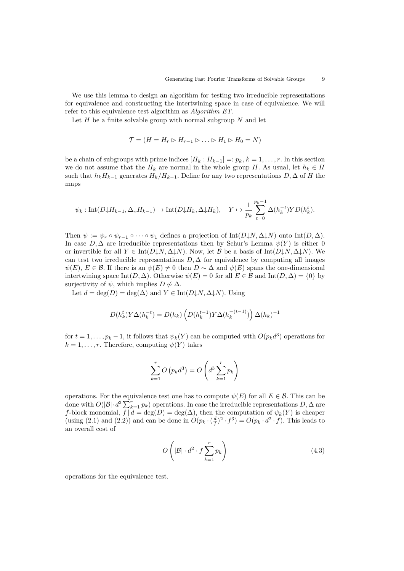We use this lemma to design an algorithm for testing two irreducible representations for equivalence and constructing the intertwining space in case of equivalence. We will refer to this equivalence test algorithm as Algorithm ET.

Let  $H$  be a finite solvable group with normal subgroup  $N$  and let

$$
\mathcal{T} = (H = H_r \rhd H_{r-1} \rhd \ldots \rhd H_1 \rhd H_0 = N)
$$

be a chain of subgroups with prime indices  $[H_k : H_{k-1}] =: p_k, k = 1, \ldots, r$ . In this section we do not assume that the  $H_k$  are normal in the whole group H. As usual, let  $h_k \in H$ such that  $h_kH_{k-1}$  generates  $H_k/H_{k-1}$ . Define for any two representations  $D, \Delta$  of H the maps

$$
\psi_k : \text{Int}(D \downarrow H_{k-1}, \Delta \downarrow H_{k-1}) \to \text{Int}(D \downarrow H_k, \Delta \downarrow H_k), \quad Y \mapsto \frac{1}{p_k} \sum_{t=0}^{p_k-1} \Delta(h_k^{-t}) Y D(h_k^t).
$$

Then  $\psi := \psi_r \circ \psi_{r-1} \circ \cdots \circ \psi_1$  defines a projection of  $Int(D \downarrow N, \Delta \downarrow N)$  onto  $Int(D, \Delta)$ . In case  $D, \Delta$  are irreducible representations then by Schur's Lemma  $\psi(Y)$  is either 0 or invertible for all  $Y \in \text{Int}(D\downarrow N, \Delta\downarrow N)$ . Now, let B be a basis of  $\text{Int}(D\downarrow N, \Delta\downarrow N)$ . We can test two irreducible representations  $D, \Delta$  for equivalence by computing all images  $\psi(E), E \in \mathcal{B}$ . If there is an  $\psi(E) \neq 0$  then  $D \sim \Delta$  and  $\psi(E)$  spans the one-dimensional intertwining space Int $(D, \Delta)$ . Otherwise  $\psi(E) = 0$  for all  $E \in \mathcal{B}$  and Int $(D, \Delta) = \{0\}$  by surjectivity of  $\psi$ , which implies  $D \not\sim \Delta$ .

Let  $d = \deg(D) = \deg(\Delta)$  and  $Y \in \text{Int}(D\downarrow N, \Delta\downarrow N)$ . Using

$$
D(h_k^t)Y\Delta(h_k^{-t})=D(h_k)\left(D(h_k^{t-1})Y\Delta(h_k^{-(t-1)})\right)\Delta(h_k)^{-1}
$$

for  $t = 1, \ldots, p_k - 1$ , it follows that  $\psi_k(Y)$  can be computed with  $O(p_k d^3)$  operations for  $k = 1, \ldots, r$ . Therefore, computing  $\psi(Y)$  takes

$$
\sum_{k=1}^{r} O\left(p_k d^3\right) = O\left(d^3 \sum_{k=1}^{r} p_k\right)
$$

operations. For the equivalence test one has to compute  $\psi(E)$  for all  $E \in \mathcal{B}$ . This can be done with  $O(|\mathcal{B}|\cdot d^3 \sum_{k=1}^r p_k)$  operations. In case the irreducible representations  $D, \Delta$  are f-block monomial,  $f | d = \deg(D) = \deg(\Delta)$ , then the computation of  $\psi_k(Y)$  is cheaper (using (2.1) and (2.2)) and can be done in  $O(p_k \cdot (\frac{d}{f})^2 \cdot f^3) = O(p_k \cdot d^2 \cdot f)$ . This leads to an overall cost of

$$
O\left(|\mathcal{B}| \cdot d^2 \cdot f \sum_{k=1}^r p_k\right) \tag{4.3}
$$

operations for the equivalence test.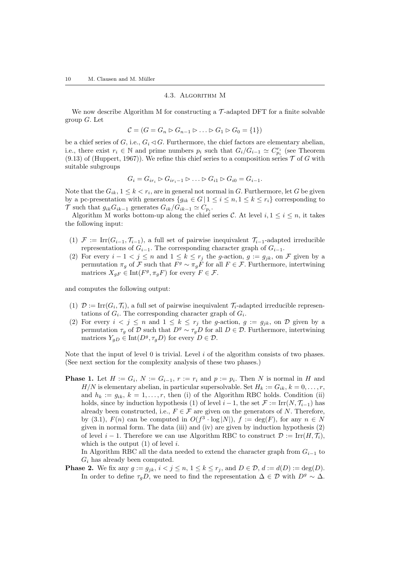#### 4.3. Algorithm M

We now describe Algorithm M for constructing a  $\mathcal{T}$ -adapted DFT for a finite solvable group G. Let

$$
\mathcal{C} = (G = G_n \triangleright G_{n-1} \triangleright \ldots \triangleright G_1 \triangleright G_0 = \{1\})
$$

be a chief series of  $G$ , i.e.,  $G_i \lhd G$ . Furthermore, the chief factors are elementary abelian, i.e., there exist  $r_i \in \mathbb{N}$  and prime numbers  $p_i$  such that  $G_i/G_{i-1} \simeq C_{p_i}^{r_i}$  (see Theorem (9.13) of (Huppert, 1967)). We refine this chief series to a composition series  $\mathcal T$  of G with suitable subgroups

$$
G_i = G_{ir_i} \triangleright G_{ir_i-1} \triangleright \ldots \triangleright G_{i1} \triangleright G_{i0} = G_{i-1}.
$$

Note that the  $G_{ik}$ ,  $1 \leq k < r_i$ , are in general not normal in G. Furthermore, let G be given by a pc-presentation with generators  ${g_{ik} \in G | 1 \leq i \leq n, 1 \leq k \leq r_i}$  corresponding to T such that  $g_{ik}G_{ik-1}$  generates  $G_{ik}/G_{ik-1} \simeq C_{p_i}$ .

Algorithm M works bottom-up along the chief series  $\mathcal{C}$ . At level  $i, 1 \leq i \leq n$ , it takes the following input:

- (1)  $\mathcal{F} := \text{Irr}(G_{i-1}, \mathcal{T}_{i-1})$ , a full set of pairwise inequivalent  $\mathcal{T}_{i-1}$ -adapted irreducible representations of  $G_{i-1}$ . The corresponding character graph of  $G_{i-1}$ .
- (2) For every  $i-1 < j \leq n$  and  $1 \leq k \leq r_j$  the g-action,  $g := g_{jk}$ , on F given by a permutation  $\pi_g$  of F such that  $F^g \sim \pi_g F$  for all  $F \in \mathcal{F}$ . Furthermore, intertwining matrices  $X_{gF} \in \text{Int}(F^g, \pi_g F)$  for every  $F \in \mathcal{F}$ .

and computes the following output:

- (1)  $\mathcal{D} := \text{Irr}(G_i, \mathcal{T}_i)$ , a full set of pairwise inequivalent  $\mathcal{T}_i$ -adapted irreducible representations of  $G_i$ . The corresponding character graph of  $G_i$ .
- (2) For every  $i < j \leq n$  and  $1 \leq k \leq r_j$  the g-action,  $g := g_{jk}$ , on  $\mathcal{D}$  given by a permutation  $\tau_q$  of D such that  $D^g \sim \tau_q D$  for all  $D \in \mathcal{D}$ . Furthermore, intertwining matrices  $Y_{gD} \in \text{Int}(D^g, \tau_g D)$  for every  $D \in \mathcal{D}$ .

Note that the input of level  $\theta$  is trivial. Level  $i$  of the algorithm consists of two phases. (See next section for the complexity analysis of these two phases.)

**Phase 1.** Let  $H := G_i$ ,  $N := G_{i-1}$ ,  $r := r_i$  and  $p := p_i$ . Then N is normal in H and  $H/N$  is elementary abelian, in particular supersolvable. Set  $H_k := G_{ik}, k = 0, \ldots, r$ , and  $h_k := g_{ik}, k = 1, \ldots, r$ , then (i) of the Algorithm RBC holds. Condition (ii) holds, since by induction hypothesis (1) of level  $i-1$ , the set  $\mathcal{F} := \text{Irr}(N, \mathcal{T}_{i-1})$  has already been constructed, i.e.,  $F \in \mathcal{F}$  are given on the generators of N. Therefore, by (3.1),  $F(n)$  can be computed in  $O(f^3 \cdot \log |N|)$ ,  $f := \deg(F)$ , for any  $n \in N$ given in normal form. The data (iii) and (iv) are given by induction hypothesis (2) of level  $i - 1$ . Therefore we can use Algorithm RBC to construct  $\mathcal{D} := \text{Irr}(H, \mathcal{T}_i)$ , which is the output  $(1)$  of level *i*.

In Algorithm RBC all the data needed to extend the character graph from  $G_{i-1}$  to  $G_i$  has already been computed.

**Phase 2.** We fix any  $g := g_{jk}$ ,  $i < j \le n$ ,  $1 \le k \le r_j$ , and  $D \in \mathcal{D}$ ,  $d := d(D) := deg(D)$ . In order to define  $\tau_qD$ , we need to find the representation  $\Delta \in \mathcal{D}$  with  $D^g \sim \Delta$ .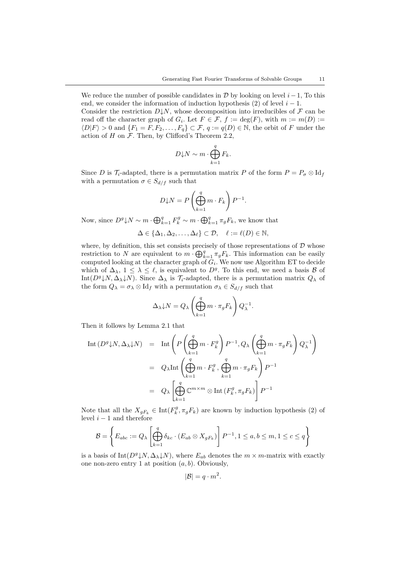We reduce the number of possible candidates in  $\mathcal D$  by looking on level  $i-1$ , To this end, we consider the information of induction hypothesis  $(2)$  of level  $i - 1$ . Consider the restriction  $D\downarrow N$ , whose decomposition into irreducibles of F can be read off the character graph of  $G_i$ . Let  $F \in \mathcal{F}$ ,  $f := \deg(F)$ , with  $m := m(D) :=$  $\langle D|F\rangle > 0$  and  $\{F_1 = F, F_2, \ldots, F_q\} \subset \mathcal{F}, q := q(D) \in \mathbb{N}$ , the orbit of F under the action of  $H$  on  $\mathcal F$ . Then, by Clifford's Theorem 2.2,

$$
D\mathord{\downarrow} N \sim m \cdot \bigoplus_{k=1}^{q} F_k.
$$

Since D is  $\mathcal{T}_i$ -adapted, there is a permutation matrix P of the form  $P = P_{\sigma} \otimes \mathrm{Id}_f$ with a permutation  $\sigma \in S_{d/f}$  such that

$$
D\downarrow N = P\left(\bigoplus_{k=1}^{q} m \cdot F_k\right) P^{-1}.
$$

Now, since  $D^g \downarrow N \sim m \cdot \bigoplus_{k=1}^q F_k^g \sim m \cdot \bigoplus_{k=1}^q \pi_g F_k$ , we know that

$$
\Delta \in \{ \Delta_1, \Delta_2, \ldots, \Delta_\ell \} \subset \mathcal{D}, \quad \ell := \ell(D) \in \mathbb{N},
$$

where, by definition, this set consists precisely of those representations of  $D$  whose restriction to N are equivalent to  $m \cdot \bigoplus_{k=1}^{q} \pi_g F_k$ . This information can be easily computed looking at the character graph of  $G_i$ . We now use Algorithm ET to decide which of  $\Delta_{\lambda}$ ,  $1 \leq \lambda \leq \ell$ , is equivalent to  $D^{g}$ . To this end, we need a basis  $\mathcal{B}$  of Int( $D^g$  $\downarrow$ N,  $\Delta_{\lambda}$  $\downarrow$ N). Since  $\Delta_{\lambda}$  is  $\mathcal{T}_i$ -adapted, there is a permutation matrix  $Q_{\lambda}$  of the form  $Q_{\lambda} = \sigma_{\lambda} \otimes \mathrm{Id}_f$  with a permutation  $\sigma_{\lambda} \in S_{d/f}$  such that

$$
\Delta_{\lambda} \downarrow N = Q_{\lambda} \left( \bigoplus_{k=1}^{q} m \cdot \pi_{g} F_{k} \right) Q_{\lambda}^{-1}.
$$

Then it follows by Lemma 2.1 that

$$
\begin{array}{rcl} \text{Int}\left(D^g \downarrow N, \Delta_\lambda \downarrow N\right) & = & \text{Int}\left(P\left(\bigoplus_{k=1}^q m \cdot F_k^g\right) P^{-1}, Q_\lambda\left(\bigoplus_{k=1}^q m \cdot \pi_g F_k\right) Q_\lambda^{-1}\right) \\ \\ & = & Q_\lambda \text{Int}\left(\bigoplus_{k=1}^q m \cdot F_k^g\, , \bigoplus_{k=1}^q m \cdot \pi_g F_k\right) P^{-1} \\ \\ & = & Q_\lambda \left[\bigoplus_{k=1}^q \mathbb{C}^{m \times m} \otimes \text{Int}\left(F_k^g, \pi_g F_k\right)\right] P^{-1} \end{array}
$$

Note that all the  $X_{gF_k} \in \text{Int}(F_k^g, \pi_g F_k)$  are known by induction hypothesis (2) of level  $i - 1$  and therefore

$$
\mathcal{B} = \left\{ E_{abc} := Q_{\lambda} \left[ \bigoplus_{k=1}^{q} \delta_{kc} \cdot (E_{ab} \otimes X_{gF_k}) \right] P^{-1}, 1 \le a, b \le m, 1 \le c \le q \right\}
$$

is a basis of Int( $D^g$ , $\downarrow$ N,  $\Delta_{\lambda}$ ), where  $E_{ab}$  denotes the  $m \times m$ -matrix with exactly one non-zero entry 1 at position  $(a, b)$ . Obviously,

$$
|\mathcal{B}| = q \cdot m^2.
$$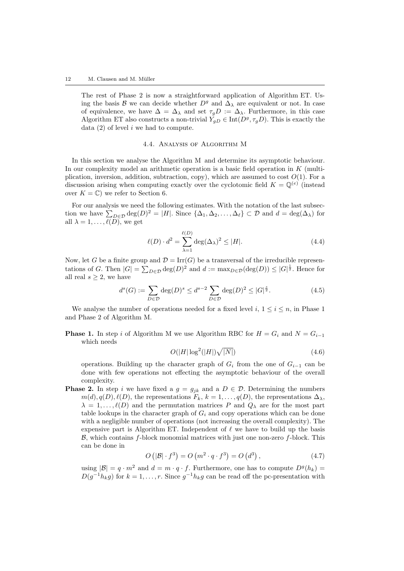The rest of Phase 2 is now a straightforward application of Algorithm ET. Using the basis B we can decide whether  $D<sup>g</sup>$  and  $\Delta_{\lambda}$  are equivalent or not. In case of equivalence, we have  $\Delta = \Delta_{\lambda}$  and set  $\tau_g D := \Delta_{\lambda}$ . Furthermore, in this case Algorithm ET also constructs a non-trivial  $Y_{gD} \in \text{Int}(D^g, \tau_g D)$ . This is exactly the data  $(2)$  of level i we had to compute.

#### 4.4. Analysis of Algorithm M

In this section we analyse the Algorithm M and determine its asymptotic behaviour. In our complexity model an arithmetic operation is a basic field operation in  $K$  (multiplication, inversion, addition, subtraction, copy), which are assumed to cost  $O(1)$ . For a discussion arising when computing exactly over the cyclotomic field  $K = \mathbb{Q}^{(e)}$  (instead over  $K = \mathbb{C}$ ) we refer to Section 6.

For our analysis we need the following estimates. With the notation of the last subsection we have  $\sum_{D \in \mathcal{D}} \deg(D)^2 = |H|$ . Since  $\{\Delta_1, \Delta_2, \ldots, \Delta_\ell\} \subset \mathcal{D}$  and  $d = \deg(\Delta_\lambda)$  for all  $\lambda = 1, \ldots, \widetilde{\ell(D)}$ , we get

$$
\ell(D) \cdot d^2 = \sum_{\lambda=1}^{\ell(D)} \deg(\Delta_{\lambda})^2 \le |H|.
$$
\n(4.4)

Now, let G be a finite group and  $\mathcal{D} = \text{Irr}(G)$  be a transversal of the irreducible representations of G. Then  $|G| = \sum_{D \in \mathcal{D}} \deg(D)^2$  and  $d := \max_{D \in \mathcal{D}} (\deg(D)) \leq |G|^{\frac{1}{2}}$ . Hence for all real  $s \geq 2$ , we have

$$
d^{s}(G) := \sum_{D \in \mathcal{D}} \deg(D)^{s} \le d^{s-2} \sum_{D \in \mathcal{D}} \deg(D)^{2} \le |G|^{\frac{s}{2}}.
$$
 (4.5)

We analyse the number of operations needed for a fixed level i,  $1 \leq i \leq n$ , in Phase 1 and Phase 2 of Algorithm M.

**Phase 1.** In step i of Algorithm M we use Algorithm RBC for  $H = G_i$  and  $N = G_{i-1}$ which needs

$$
O(|H|\log^2(|H|)\sqrt{|N|})\tag{4.6}
$$

operations. Building up the character graph of  $G_i$  from the one of  $G_{i-1}$  can be done with few operations not effecting the asymptotic behaviour of the overall complexity.

**Phase 2.** In step i we have fixed a  $g = g_{jk}$  and a  $D \in \mathcal{D}$ . Determining the numbers  $m(d)$ ,  $q(D)$ ,  $\ell(D)$ , the representations  $F_k$ ,  $k = 1, \ldots, q(D)$ , the representations  $\Delta_{\lambda}$ ,  $\lambda = 1, \ldots, \ell(D)$  and the permutation matrices P and  $Q_{\lambda}$  are for the most part table lookups in the character graph of  $G_i$  and copy operations which can be done with a negligible number of operations (not increasing the overall complexity). The expensive part is Algorithm ET. Independent of  $\ell$  we have to build up the basis  $\beta$ , which contains f-block monomial matrices with just one non-zero f-block. This can be done in

$$
O\left(|\mathcal{B}| \cdot f^3\right) = O\left(m^2 \cdot q \cdot f^3\right) = O\left(d^3\right),\tag{4.7}
$$

using  $|\mathcal{B}| = q \cdot m^2$  and  $d = m \cdot q \cdot f$ . Furthermore, one has to compute  $D^g(h_k) =$  $D(g^{-1}h_k g)$  for  $k = 1, ..., r$ . Since  $g^{-1}h_k g$  can be read off the pc-presentation with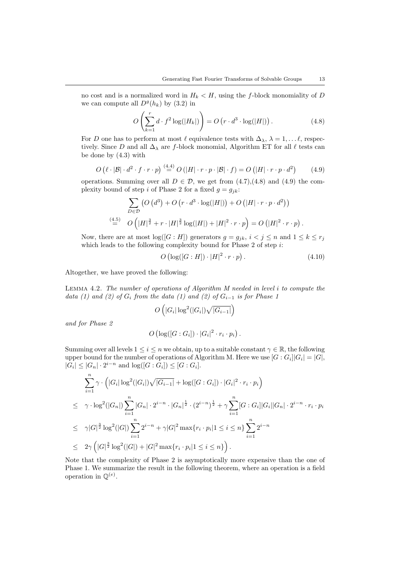no cost and is a normalized word in  $H_k < H$ , using the f-block monomiality of D we can compute all  $D<sup>g</sup>(h<sub>k</sub>)$  by  $(3.2)$  in

$$
O\left(\sum_{k=1}^{r} d \cdot f^2 \log(|H_k|)\right) = O\left(r \cdot d^3 \cdot \log(|H|)\right). \tag{4.8}
$$

For D one has to perform at most  $\ell$  equivalence tests with  $\Delta_{\lambda}$ ,  $\lambda = 1, \ldots \ell$ , respectively. Since D and all  $\Delta_{\lambda}$  are f-block monomial, Algorithm ET for all  $\ell$  tests can be done by (4.3) with

$$
O\left(\ell \cdot |\mathcal{B}| \cdot d^2 \cdot f \cdot r \cdot p\right) \stackrel{(4.4)}{=} O\left(|H| \cdot r \cdot p \cdot |\mathcal{B}| \cdot f\right) = O\left(|H| \cdot r \cdot p \cdot d^2\right) \tag{4.9}
$$

operations. Summing over all  $D \in \mathcal{D}$ , we get from  $(4.7),(4.8)$  and  $(4.9)$  the complexity bound of step i of Phase 2 for a fixed  $g = g_{ik}$ :

$$
\sum_{D \in \mathcal{D}} \left( O\left(d^3\right) + O\left(r \cdot d^3 \cdot \log(|H|)\right) + O\left(|H| \cdot r \cdot p \cdot d^2\right) \right)
$$
  

$$
\stackrel{(4.5)}{=} O\left(|H|^{\frac{3}{2}} + r \cdot |H|^{\frac{3}{2}} \log(|H|) + |H|^2 \cdot r \cdot p \right) = O\left(|H|^2 \cdot r \cdot p\right).
$$

Now, there are at most  $log([G:H])$  generators  $g = g_{ik}$ ,  $i < j \leq n$  and  $1 \leq k \leq r_j$ which leads to the following complexity bound for Phase  $2$  of step  $i$ :

$$
O\left(\log([G:H])\cdot|H|^2\cdot r\cdot p\right). \tag{4.10}
$$

Altogether, we have proved the following:

Lemma 4.2. The number of operations of Algorithm M needed in level i to compute the data (1) and (2) of  $G_i$  from the data (1) and (2) of  $G_{i-1}$  is for Phase 1

$$
O\left(|G_i|\log^2(|G_i|)\sqrt{|G_{i-1}|}\right)
$$

and for Phase 2

$$
O\left(\log([G:G_i])\cdot |G_i|^2\cdot r_i\cdot p_i\right).
$$

Summing over all levels  $1 \leq i \leq n$  we obtain, up to a suitable constant  $\gamma \in \mathbb{R}$ , the following upper bound for the number of operations of Algorithm M. Here we use  $[G:G_i]|G_i|=|G|$ ,  $|G_i| \leq |G_n| \cdot 2^{i-n}$  and  $\log([G:G_i]) \leq [G:G_i]$ .

$$
\sum_{i=1}^{n} \gamma \cdot (|G_i| \log^2(|G_i|) \sqrt{|G_{i-1}|} + \log([G:G_i]) \cdot |G_i|^2 \cdot r_i \cdot p_i)
$$
\n
$$
\leq \gamma \cdot \log^2(|G_n|) \sum_{i=1}^{n} |G_n| \cdot 2^{i-n} \cdot |G_n|^{\frac{1}{2}} \cdot (2^{i-n})^{\frac{1}{2}} + \gamma \sum_{i=1}^{n} [G:G_i] |G_i| |G_n| \cdot 2^{i-n} \cdot r_i \cdot p_i
$$
\n
$$
\leq \gamma |G|^{\frac{3}{2}} \log^2(|G|) \sum_{i=1}^{n} 2^{i-n} + \gamma |G|^2 \max\{r_i \cdot p_i | 1 \leq i \leq n\} \sum_{i=1}^{n} 2^{i-n}
$$
\n
$$
\leq 2\gamma (|G|^{\frac{3}{2}} \log^2(|G|) + |G|^2 \max\{r_i \cdot p_i | 1 \leq i \leq n\}).
$$

Note that the complexity of Phase 2 is asymptotically more expensive than the one of Phase 1. We summarize the result in the following theorem, where an operation is a field operation in  $\mathbb{Q}^{(e)}$ .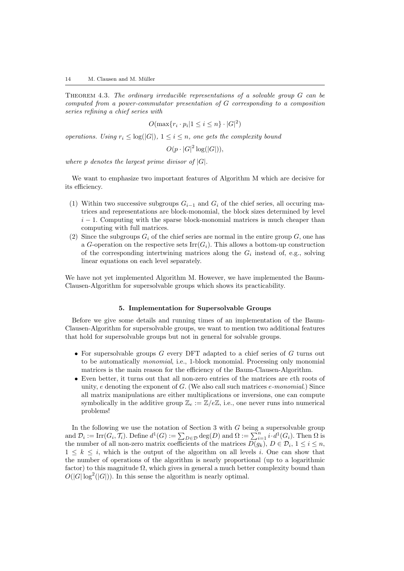THEOREM 4.3. The ordinary irreducible representations of a solvable group  $G$  can be computed from a power-commutator presentation of G corresponding to a composition series refining a chief series with

$$
O(\max\{r_i \cdot p_i | 1 \le i \le n\} \cdot |G|^2)
$$

operations. Using  $r_i \leq \log(|G|)$ ,  $1 \leq i \leq n$ , one gets the complexity bound

 $O(p \cdot |G|^2 \log(|G|)),$ 

where p denotes the largest prime divisor of  $|G|$ .

We want to emphasize two important features of Algorithm M which are decisive for its efficiency.

- (1) Within two successive subgroups  $G_{i-1}$  and  $G_i$  of the chief series, all occuring matrices and representations are block-monomial, the block sizes determined by level  $i-1$ . Computing with the sparse block-monomial matrices is much cheaper than computing with full matrices.
- (2) Since the subgroups  $G_i$  of the chief series are normal in the entire group  $G$ , one has a G-operation on the respective sets  $\text{Irr}(G_i)$ . This allows a bottom-up construction of the corresponding intertwining matrices along the  $G_i$  instead of, e.g., solving linear equations on each level separately.

We have not yet implemented Algorithm M. However, we have implemented the Baum-Clausen-Algorithm for supersolvable groups which shows its practicability.

#### 5. Implementation for Supersolvable Groups

Before we give some details and running times of an implementation of the Baum-Clausen-Algorithm for supersolvable groups, we want to mention two additional features that hold for supersolvable groups but not in general for solvable groups.

- For supersolvable groups  $G$  every DFT adapted to a chief series of  $G$  turns out to be automatically monomial, i.e., 1-block monomial. Processing only monomial matrices is the main reason for the efficiency of the Baum-Clausen-Algorithm.
- Even better, it turns out that all non-zero entries of the matrices are eth roots of unity,  $e$  denoting the exponent of  $G$ . (We also call such matrices  $e$ -monomial.) Since all matrix manipulations are either multiplications or inversions, one can compute symbolically in the additive group  $\mathbb{Z}_e := \mathbb{Z}/e\mathbb{Z}$ , i.e., one never runs into numerical problems!

In the following we use the notation of Section 3 with  $G$  being a supersolvable group and  $\mathcal{D}_i := \text{Irr}(G_i, \mathcal{T}_i)$ . Define  $d^1(G) := \sum_{D \in \mathcal{D}} \text{deg}(D)$  and  $\Omega := \sum_{i=1}^n i \cdot d^1(G_i)$ . Then  $\Omega$  is the number of all non-zero matrix coefficients of the matrices  $D(g_k)$ ,  $D \in \mathcal{D}_i$ ,  $1 \leq i \leq n$ ,  $1 \leq k \leq i$ , which is the output of the algorithm on all levels i. One can show that the number of operations of the algorithm is nearly proportional (up to a logarithmic factor) to this magnitude  $\Omega$ , which gives in general a much better complexity bound than  $O(|G|\log^2(|G|))$ . In this sense the algorithm is nearly optimal.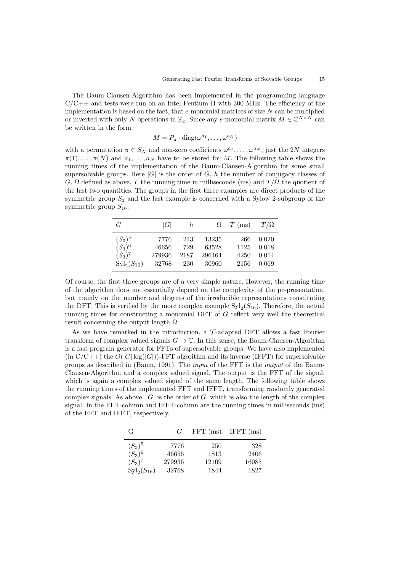The Baum-Clausen-Algorithm has been implemented in the programming language  $C/C++$  and tests were run on an Intel Pentium II with 300 MHz. The efficiency of the implementation is based on the fact, that  $e$ -monomial matrices of size  $N$  can be multiplied or inverted with only N operations in  $\mathbb{Z}_e$ . Since any e-monomial matrix  $M \in \mathbb{C}^{N \times N}$  can be written in the form

$$
M = P_{\pi} \cdot \text{diag}(\omega^{a_1}, \dots, \omega^{a_N})
$$

with a permutation  $\pi \in S_N$  and non-zero coefficients  $\omega^{a_1}, \ldots, \omega^{a_N}$ , just the 2N integers  $\pi(1), \ldots, \pi(N)$  and  $a_1, \ldots, a_N$  have to be stored for M. The following table shows the running times of the implementation of the Baum-Clausen-Algorithm for some small supersolvable groups. Here  $|G|$  is the order of G, h the number of conjugacy classes of G,  $\Omega$  defined as above, T the running time in milliseconds (ms) and  $T/\Omega$  the quotient of the last two quantities. The groups in the first three examples are direct products of the symmetric group  $S_3$  and the last example is concerned with a Sylow 2-subgroup of the symmetric group  $S_{16}$ .

| G                     | G      | h    |        | $\Omega$ T (ms) | $T/\Omega$ |
|-----------------------|--------|------|--------|-----------------|------------|
| $(S_3)^5$             | 7776   | 243  | 13235  | 266             | 0.020      |
| $(S_3)^6$             | 46656  | 729  | 63528  | 1125            | 0.018      |
| $(S_3)^7$             | 279936 | 2187 | 296464 | 4250            | 0.014      |
| ${\rm Syl}_2(S_{16})$ | 32768  | 230  | 30960  | 2156            | 0.069      |

Of course, the first three groups are of a very simple nature. However, the running time of the algorithm does not essentially depend on the complexity of the pc-presentation, but mainly on the number and degrees of the irreducible representations constituting the DFT. This is verified by the more complex example  $\text{Syl}_2(S_{16})$ . Therefore, the actual running times for constructing a monomial DFT of G reflect very well the theoretical result concerning the output length  $\Omega$ .

As we have remarked in the introduction, a  $\mathcal{T}$ -adapted DFT allows a fast Fourier transform of complex valued signals  $G \to \mathbb{C}$ . In this sense, the Baum-Clausen-Algorithm is a fast program generator for FFTs of supersolvable groups. We have also implemented  $(\text{in } C/C++)$  the  $O(|G| \log(|G|))$ -FFT algorithm and its inverse (IFFT) for supersolvable groups as described in (Baum, 1991). The input of the FFT is the output of the Baum-Clausen-Algorithm and a complex valued signal. The output is the FFT of the signal, which is again a complex valued signal of the same length. The following table shows the running times of the implemented FFT and IFFT, transforming randomly generated complex signals. As above,  $|G|$  is the order of G, which is also the length of the complex signal. In the FFT-column and IFFT-column are the running times in milliseconds (ms) of the FFT and IFFT, respectively.

| G                     | G      | $FFT \ (ms)$ | IFFT $(ms)$ |
|-----------------------|--------|--------------|-------------|
| $(S_3)^5$             | 7776   | 250          | 328         |
| $(S_3)^6$             | 46656  | 1813         | 2406        |
| $(S_3)^7$             | 279936 | 12109        | 16985       |
| ${\rm Syl}_2(S_{16})$ | 32768  | 1844         | 1827        |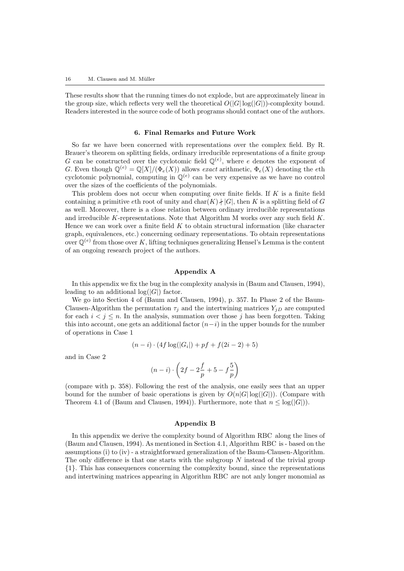These results show that the running times do not explode, but are approximately linear in the group size, which reflects very well the theoretical  $O(|G| \log(|G|))$ -complexity bound. Readers interested in the source code of both programs should contact one of the authors.

#### 6. Final Remarks and Future Work

So far we have been concerned with representations over the complex field. By R. Brauer's theorem on splitting fields, ordinary irreducible representations of a finite group G can be constructed over the cyclotomic field  $\mathbb{Q}^{(e)}$ , where e denotes the exponent of G. Even though  $\mathbb{Q}^{(e)} = \mathbb{Q}[X]/(\Phi_e(X))$  allows exact arithmetic,  $\Phi_e(X)$  denoting the eth cyclotomic polynomial, computing in  $\mathbb{Q}^{(e)}$  can be very expensive as we have no control over the sizes of the coefficients of the polynomials.

This problem does not occur when computing over finite fields. If K is a finite field containing a primitive eth root of unity and  $\text{char}(K)$  + |G|, then K is a splitting field of G as well. Moreover, there is a close relation between ordinary irreducible representations and irreducible K-representations. Note that Algorithm M works over any such field  $K$ . Hence we can work over a finite field  $K$  to obtain structural information (like character graph, equivalences, etc.) concerning ordinary representations. To obtain representations over  $\mathbb{Q}^{(e)}$  from those over K, lifting techniques generalizing Hensel's Lemma is the content of an ongoing research project of the authors.

## Appendix A

In this appendix we fix the bug in the complexity analysis in (Baum and Clausen, 1994), leading to an additional  $log(|G|)$  factor.

We go into Section 4 of (Baum and Clausen, 1994), p. 357. In Phase 2 of the Baum-Clausen-Algorithm the permutation  $\tau_i$  and the intertwining matrices  $Y_{iD}$  are computed for each  $i < j \leq n$ . In the analysis, summation over those j has been forgotten. Taking this into account, one gets an additional factor  $(n-i)$  in the upper bounds for the number of operations in Case 1

$$
(n-i) \cdot (4f \log(|G_i|) + pf + f(2i - 2) + 5)
$$

and in Case 2

$$
(n-i)\cdot\left(2f-2\frac{f}{p}+5-f\frac{5}{p}\right)
$$

(compare with p. 358). Following the rest of the analysis, one easily sees that an upper bound for the number of basic operations is given by  $O(n|G|\log(|G|))$ . (Compare with Theorem 4.1 of (Baum and Clausen, 1994)). Furthermore, note that  $n \leq \log(|G|)$ ).

#### Appendix B

In this appendix we derive the complexity bound of Algorithm RBC along the lines of (Baum and Clausen, 1994). As mentioned in Section 4.1, Algorithm RBC is - based on the assumptions (i) to (iv) - a straightforward generalization of the Baum-Clausen-Algorithm. The only difference is that one starts with the subgroup  $N$  instead of the trivial group {1}. This has consequences concerning the complexity bound, since the representations and intertwining matrices appearing in Algorithm RBC are not anly longer monomial as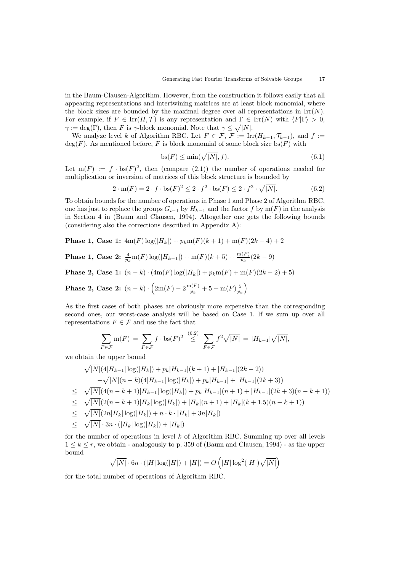in the Baum-Clausen-Algorithm. However, from the construction it follows easily that all appearing representations and intertwining matrices are at least block monomial, where the block sizes are bounded by the maximal degree over all representations in  $\text{Irr}(N)$ . For example, if  $F \in \text{Irr}(H, \mathcal{T})$  is any representation and  $\Gamma \in \text{Irr}(N)$  with  $\langle F|\Gamma \rangle > 0$ ,  $\gamma := \deg(\Gamma)$ , then F is  $\gamma$ -block monomial. Note that  $\gamma \leq \sqrt{|N|}$ .

We analyze level k of Algorithm RBC. Let  $F \in \mathcal{F}$ ,  $\mathcal{F} := \text{Irr}(H_{k-1}, \mathcal{T}_{k-1})$ , and  $f :=$  $deg(F)$ . As mentioned before, F is block monomial of some block size bs(F) with

$$
\mathbf{bs}(F) \le \min(\sqrt{|N|}, f). \tag{6.1}
$$

Let  $m(F) := f \cdot bs(F)^2$ , then (compare (2.1)) the number of operations needed for multiplication or inversion of matrices of this block structure is bounded by

$$
2 \cdot \mathbf{m}(F) = 2 \cdot f \cdot \mathbf{bs}(F)^{2} \le 2 \cdot f^{2} \cdot \mathbf{bs}(F) \le 2 \cdot f^{2} \cdot \sqrt{|N|}. \tag{6.2}
$$

To obtain bounds for the number of operations in Phase 1 and Phase 2 of Algorithm RBC, one has just to replace the groups  $G_{i-1}$  by  $H_{k-1}$  and the factor f by m(F) in the analysis in Section 4 in (Baum and Clausen, 1994). Altogether one gets the following bounds (considering also the corrections described in Appendix A):

Phase 1, Case 1:  $4m(F) \log(|H_k|) + p_k m(F)(k+1) + m(F)(2k-4) + 2$ 

**Phase 1, Case 2:** 
$$
\frac{4}{p_k} \text{m}(F) \log(|H_{k-1}|) + \text{m}(F)(k+5) + \frac{\text{m}(F)}{p_k} (2k-9)
$$

Phase 2, Case 1:  $(n-k) \cdot (4m(F) \log(|H_k|) + p_k m(F) + m(F)(2k-2) + 5)$ 

**Phase 2, Case 2:**  $(n - k) \cdot (2m(F) - 2\frac{m(F)}{n})$  $\frac{\ln(F)}{p_k}+5-\ln(F)\frac{5}{p_k}\bigg)$ 

As the first cases of both phases are obviously more expensive than the corresponding second ones, our worst-case analysis will be based on Case 1. If we sum up over all representations  $F \in \mathcal{F}$  and use the fact that

$$
\sum_{F \in \mathcal{F}} \mathrm{m}(F) = \sum_{F \in \mathcal{F}} f \cdot \mathrm{bs}(F)^2 \stackrel{(6.2)}{\leq} \sum_{F \in \mathcal{F}} f^2 \sqrt{|N|} = |H_{k-1}| \sqrt{|N|},
$$

we obtain the upper bound

$$
\sqrt{|N|}(4|H_{k-1}|\log(|H_k|) + p_k|H_{k-1}|(k+1) + |H_{k-1}|(2k-2))
$$
  
\n
$$
+\sqrt{|N|}(n-k)(4|H_{k-1}|\log(|H_k|) + p_k|H_{k-1}| + |H_{k-1}|(2k+3))
$$
  
\n
$$
\leq \sqrt{|N|}(4(n-k+1)|H_{k-1}|\log(|H_k|) + p_k|H_{k-1}|(n+1) + |H_{k-1}|(2k+3)(n-k+1))
$$
  
\n
$$
\leq \sqrt{|N|}(2(n-k+1)|H_k|\log(|H_k|) + |H_k|(n+1) + |H_k|(k+1.5)(n-k+1))
$$
  
\n
$$
\leq \sqrt{|N|}(2n|H_k|\log(|H_k|) + n \cdot k \cdot |H_k| + 3n|H_k|)
$$

 $\leq \sqrt{|N|} \cdot 3n \cdot (|H_k| \log(|H_k|) + |H_k|)$ 

for the number of operations in level  $k$  of Algorithm RBC. Summing up over all levels  $1 \leq k \leq r$ , we obtain - analogously to p. 359 of (Baum and Clausen, 1994) - as the upper bound

$$
\sqrt{|N|} \cdot 6n \cdot (|H| \log(|H|) + |H|) = O\left(|H| \log^2(|H|) \sqrt{|N|}\right)
$$

for the total number of operations of Algorithm RBC.